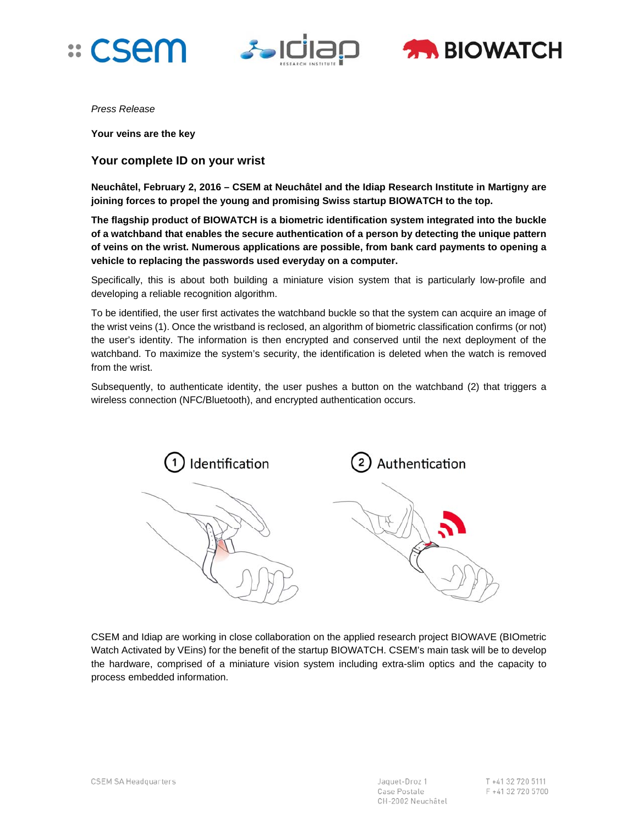





*Press Release* 

**Your veins are the key** 

## **Your complete ID on your wrist**

**Neuchâtel, February 2, 2016 – CSEM at Neuchâtel and the Idiap Research Institute in Martigny are joining forces to propel the young and promising Swiss startup BIOWATCH to the top.** 

**The flagship product of BIOWATCH is a biometric identification system integrated into the buckle of a watchband that enables the secure authentication of a person by detecting the unique pattern of veins on the wrist. Numerous applications are possible, from bank card payments to opening a vehicle to replacing the passwords used everyday on a computer.** 

Specifically, this is about both building a miniature vision system that is particularly low-profile and developing a reliable recognition algorithm.

To be identified, the user first activates the watchband buckle so that the system can acquire an image of the wrist veins (1). Once the wristband is reclosed, an algorithm of biometric classification confirms (or not) the user's identity. The information is then encrypted and conserved until the next deployment of the watchband. To maximize the system's security, the identification is deleted when the watch is removed from the wrist.

Subsequently, to authenticate identity, the user pushes a button on the watchband (2) that triggers a wireless connection (NFC/Bluetooth), and encrypted authentication occurs.



CSEM and Idiap are working in close collaboration on the applied research project BIOWAVE (BIOmetric Watch Activated by VEins) for the benefit of the startup BIOWATCH. CSEM's main task will be to develop the hardware, comprised of a miniature vision system including extra-slim optics and the capacity to process embedded information.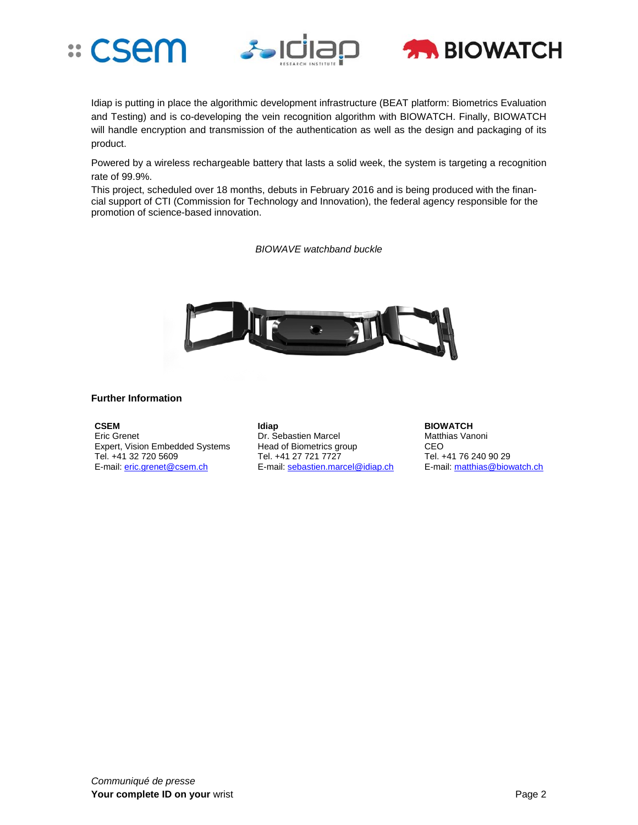





Idiap is putting in place the algorithmic development infrastructure (BEAT platform: Biometrics Evaluation and Testing) and is co-developing the vein recognition algorithm with BIOWATCH. Finally, BIOWATCH will handle encryption and transmission of the authentication as well as the design and packaging of its product.

Powered by a wireless rechargeable battery that lasts a solid week, the system is targeting a recognition rate of 99.9%.

This project, scheduled over 18 months, debuts in February 2016 and is being produced with the financial support of CTI (Commission for Technology and Innovation), the federal agency responsible for the promotion of science-based innovation.

*BIOWAVE watchband buckle* 



## **Further Information**

**CSEM**  Eric Grenet Expert, Vision Embedded Systems Tel. +41 32 720 5609 E-mail: eric.grenet@csem.ch

**Idiap**  Dr. Sebastien Marcel Head of Biometrics group Tel. +41 27 721 7727 E-mail: sebastien.marcel@idiap.ch **BIOWATCH**  Matthias Vanoni CEO Tel. +41 76 240 90 29 E-mail: matthias@biowatch.ch